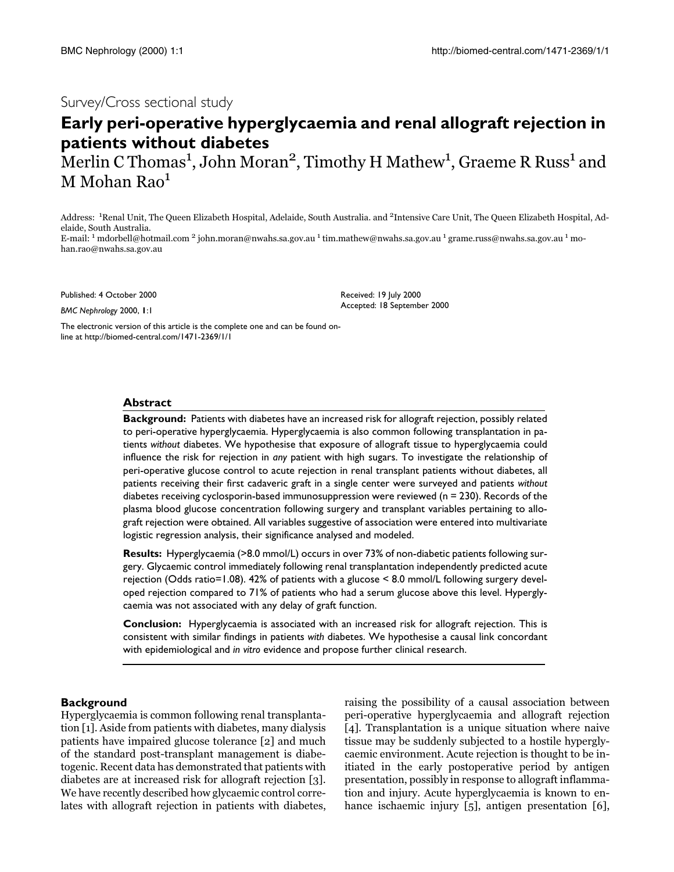## Survey/Cross sectional study

# **Early peri-operative hyperglycaemia and renal allograft rejection in patients without diabetes**

Merlin C Thomas<sup>1</sup>, John Moran<sup>2</sup>, Timothy H Mathew<sup>1</sup>, Graeme R Russ<sup>1</sup> and M Mohan Rao<sup>1</sup>

Address: <sup>1</sup>Renal Unit, The Queen Elizabeth Hospital, Adelaide, South Australia. and <sup>2</sup>Intensive Care Unit, The Queen Elizabeth Hospital, Adelaide, South Australia.

E-mail: <sup>1</sup> mdorbell@hotmail.com <sup>2</sup> john.moran@nwahs.sa.gov.au <sup>1</sup> tim.mathew@nwahs.sa.gov.au <sup>1</sup> grame.russ@nwahs.sa.gov.au <sup>1</sup> mohan.rao@nwahs.sa.gov.au

Published: 4 October 2000

*BMC Nephrology* 2000, **1**:1

Received: 19 July 2000 Accepted: 18 September 2000

[The electronic version of this article is the complete one and can be found on](http://biomed-central.com/1471-2369/1/1)line at http://biomed-central.com/1471-2369/1/1

#### **Abstract**

**Background:** Patients with diabetes have an increased risk for allograft rejection, possibly related to peri-operative hyperglycaemia. Hyperglycaemia is also common following transplantation in patients *without* diabetes. We hypothesise that exposure of allograft tissue to hyperglycaemia could influence the risk for rejection in *any* patient with high sugars. To investigate the relationship of peri-operative glucose control to acute rejection in renal transplant patients without diabetes, all patients receiving their first cadaveric graft in a single center were surveyed and patients *without* diabetes receiving cyclosporin-based immunosuppression were reviewed (n = 230). Records of the plasma blood glucose concentration following surgery and transplant variables pertaining to allograft rejection were obtained. All variables suggestive of association were entered into multivariate logistic regression analysis, their significance analysed and modeled.

**Results:** Hyperglycaemia (>8.0 mmol/L) occurs in over 73% of non-diabetic patients following surgery. Glycaemic control immediately following renal transplantation independently predicted acute rejection (Odds ratio=1.08). 42% of patients with a glucose < 8.0 mmol/L following surgery developed rejection compared to 71% of patients who had a serum glucose above this level. Hyperglycaemia was not associated with any delay of graft function.

**Conclusion:** Hyperglycaemia is associated with an increased risk for allograft rejection. This is consistent with similar findings in patients *with* diabetes. We hypothesise a causal link concordant with epidemiological and *in vitro* evidence and propose further clinical research.

#### **Background**

Hyperglycaemia is common following renal transplantation [1]. Aside from patients with diabetes, many dialysis patients have impaired glucose tolerance [2] and much of the standard post-transplant management is diabetogenic. Recent data has demonstrated that patients with diabetes are at increased risk for allograft rejection  $\lfloor 3 \rfloor$ . We have recently described how glycaemic control correlates with allograft rejection in patients with diabetes, raising the possibility of a causal association between peri-operative hyperglycaemia and allograft rejection  $\lfloor 4 \rfloor$ . Transplantation is a unique situation where naive tissue may be suddenly subjected to a hostile hyperglycaemic environment. Acute rejection is thought to be initiated in the early postoperative period by antigen presentation, possibly in response to allograft inflammation and injury. Acute hyperglycaemia is known to enhance ischaemic injury  $\lfloor 5 \rfloor$ , antigen presentation  $\lfloor 6 \rfloor$ ,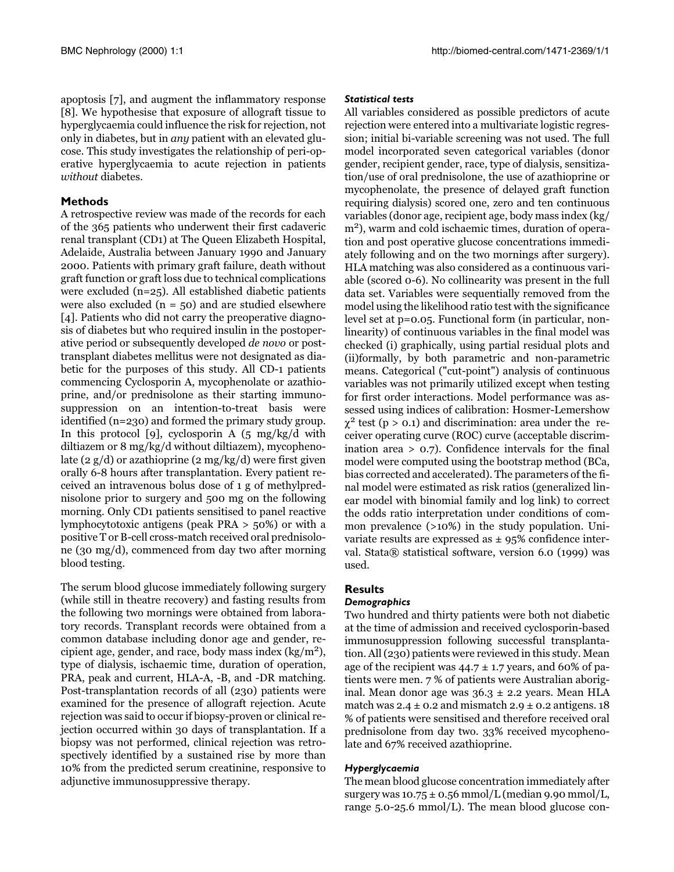apoptosis [7], and augment the inflammatory response [8]. We hypothesise that exposure of allograft tissue to hyperglycaemia could influence the risk for rejection, not only in diabetes, but in *any* patient with an elevated glucose. This study investigates the relationship of peri-operative hyperglycaemia to acute rejection in patients without diabetes.

#### **Methods**

A retrospective review was made of the records for each of the 365 patients who underwent their first cadaveric renal transplant (CD1) at The Queen Elizabeth Hospital, Adelaide, Australia between January 1990 and January 2000. Patients with primary graft failure, death without graft function or graft loss due to technical complications were excluded  $(n=25)$ . All established diabetic patients were also excluded  $(n = 50)$  and are studied elsewhere [4]. Patients who did not carry the preoperative diagnosis of diabetes but who required insulin in the postoperative period or subsequently developed *de novo* or posttransplant diabetes mellitus were not designated as diabetic for the purposes of this study. All CD-1 patients commencing Cyclosporin A, mycophenolate or azathioprine, and/or prednisolone as their starting immunosuppression on an intention-to-treat basis were identified  $(n=230)$  and formed the primary study group. In this protocol [9], cyclosporin A  $(5 \text{ mg/kg/d} \text{ with}$ diltiazem or 8 mg/kg/d without diltiazem), mycophenolate (2  $g/d$ ) or azathioprine (2 mg/kg/d) were first given orally 6-8 hours after transplantation. Every patient received an intravenous bolus dose of 1 g of methylprednisolone prior to surgery and 500 mg on the following morning. Only CD1 patients sensitised to panel reactive lymphocytotoxic antigens (peak PRA  $>$  50%) or with a positive T or B-cell cross-match received oral prednisolone (30 mg/d), commenced from day two after morning blood testing.

The serum blood glucose immediately following surgery (while still in theatre recovery) and fasting results from the following two mornings were obtained from laboratory records. Transplant records were obtained from a common database including donor age and gender, recipient age, gender, and race, body mass index  $(kg/m<sup>2</sup>)$ , type of dialysis, ischaemic time, duration of operation, PRA, peak and current, HLA-A, -B, and -DR matching. Post-transplantation records of all (230) patients were examined for the presence of allograft rejection. Acute rejection was said to occur if biopsy-proven or clinical rejection occurred within 30 days of transplantation. If a biopsy was not performed, clinical rejection was retrospectively identified by a sustained rise by more than 10% from the predicted serum creatinine, responsive to adjunctive immunosuppressive therapy.

#### **Statistical tests**

All variables considered as possible predictors of acute rejection were entered into a multivariate logistic regression; initial bi-variable screening was not used. The full model incorporated seven categorical variables (donor gender, recipient gender, race, type of dialysis, sensitization/use of oral prednisolone, the use of azathioprine or mycophenolate, the presence of delayed graft function requiring dialysis) scored one, zero and ten continuous variables (donor age, recipient age, body mass index (kg/ m<sup>2</sup>), warm and cold ischaemic times, duration of operation and post operative glucose concentrations immediately following and on the two mornings after surgery). HLA matching was also considered as a continuous variable (scored 0-6). No collinearity was present in the full data set. Variables were sequentially removed from the model using the likelihood ratio test with the significance level set at  $p=0.05$ . Functional form (in particular, nonlinearity) of continuous variables in the final model was checked (i) graphically, using partial residual plots and (ii)formally, by both parametric and non-parametric means. Categorical ("cut-point") analysis of continuous variables was not primarily utilized except when testing for first order interactions. Model performance was assessed using indices of calibration: Hosmer-Lemershow  $\chi^2$  test (p > 0.1) and discrimination: area under the receiver operating curve (ROC) curve (acceptable discrimination area  $> 0.7$ ). Confidence intervals for the final model were computed using the bootstrap method (BCa, bias corrected and accelerated). The parameters of the final model were estimated as risk ratios (generalized linear model with binomial family and log link) to correct the odds ratio interpretation under conditions of common prevalence (>10%) in the study population. Univariate results are expressed as  $\pm$  95% confidence interval. Stata® statistical software, version 6.0 (1999) was used.

### **Results**

#### Demographics

Two hundred and thirty patients were both not diabetic at the time of admission and received cyclosporin-based immunosuppression following successful transplantation. All (230) patients were reviewed in this study. Mean age of the recipient was  $44.7 \pm 1.7$  years, and 60% of patients were men. 7 % of patients were Australian aboriginal. Mean donor age was  $36.3 \pm 2.2$  years. Mean HLA match was  $2.4 \pm 0.2$  and mismatch  $2.9 \pm 0.2$  antigens. 18 % of patients were sensitised and therefore received oral prednisolone from day two. 33% received mycophenolate and 67% received azathioprine.

#### Hyperglycaemia

The mean blood glucose concentration immediately after surgery was  $10.75 \pm 0.56$  mmol/L (median 9.90 mmol/L, range  $5.0 - 25.6$  mmol/L). The mean blood glucose con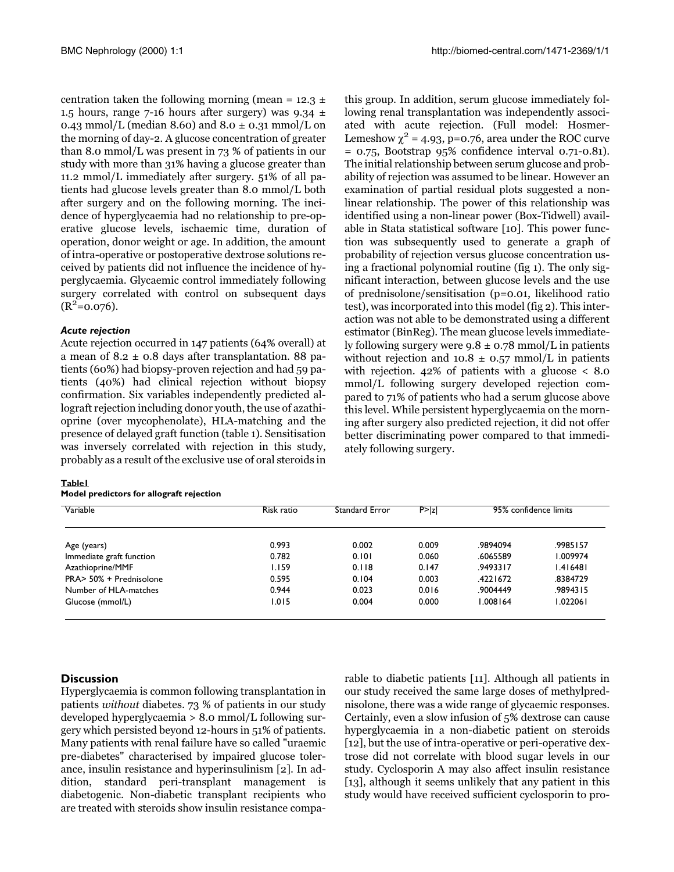centration taken the following morning (mean =  $12.3 \pm$ 1.5 hours, range 7-16 hours after surgery) was  $9.34 \pm$ 0.43 mmol/L (median 8.60) and 8.0  $\pm$  0.31 mmol/L on the morning of day-2. A glucose concentration of greater than 8.0 mmol/L was present in  $73%$  of patients in our study with more than 31% having a glucose greater than 11.2 mmol/L immediately after surgery. 51% of all patients had glucose levels greater than 8.0 mmol/L both after surgery and on the following morning. The incidence of hyperglycaemia had no relationship to pre-operative glucose levels, ischaemic time, duration of operation, donor weight or age. In addition, the amount of intra-operative or postoperative dextrose solutions received by patients did not influence the incidence of hyperglycaemia. Glycaemic control immediately following surgery correlated with control on subsequent days  $(R^2=0.076)$ .

#### **Acute rejection**

<span id="page-2-0"></span>Acute rejection occurred in 147 patients (64% overall) at a mean of  $8.2 \pm 0.8$  days after transplantation. 88 patients (60%) had biopsy-proven rejection and had 59 patients (40%) had clinical rejection without biopsy confirmation. Six variables independently predicted allograft rejection including donor youth, the use of azathioprine (over mycophenolate), HLA-matching and the presence of delayed graft function (table 1). Sensitisation was inversely correlated with rejection in this study, probably as a result of the exclusive use of oral steroids in

#### Tablel

|  | Model predictors for allograft rejection |
|--|------------------------------------------|
|--|------------------------------------------|

this group. In addition, serum glucose immediately following renal transplantation was independently associated with acute rejection. (Full model: Hosmer-Lemeshow  $\chi^2$  = 4.93, p=0.76, area under the ROC curve  $= 0.75$ , Bootstrap 95% confidence interval 0.71-0.81). The initial relationship between serum glucose and probability of rejection was assumed to be linear. However an examination of partial residual plots suggested a nonlinear relationship. The power of this relationship was identified using a non-linear power (Box-Tidwell) available in Stata statistical software [10]. This power function was subsequently used to generate a graph of probability of rejection versus glucose concentration using a fractional polynomial routine (fig 1). The only significant interaction, between glucose levels and the use of prednisolone/sensitisation (p=0.01, likelihood ratio test), was incorporated into this model (fig 2). This interaction was not able to be demonstrated using a different estimator (BinReg). The mean glucose levels immediately following surgery were  $9.8 \pm 0.78$  mmol/L in patients without rejection and  $10.8 \pm 0.57$  mmol/L in patients with rejection.  $42\%$  of patients with a glucose  $\lt 8.0$ mmol/L following surgery developed rejection compared to 71% of patients who had a serum glucose above this level. While persistent hyperglycaemia on the morning after surgery also predicted rejection, it did not offer better discriminating power compared to that immediately following surgery.

| Variable<br>Age (years)  | Risk ratio<br>0.993 | Standard Error<br>0.002 | P >  z <br>0.009 | 95% confidence limits |          |
|--------------------------|---------------------|-------------------------|------------------|-----------------------|----------|
|                          |                     |                         |                  | .9894094              | .9985157 |
| Immediate graft function | 0.782               | 0.101                   | 0.060            | .6065589              | 1.009974 |
| Azathioprine/MMF         | 1.159               | 0.118                   | 0.147            | 9493317               | 1.416481 |
| PRA> 50% + Prednisolone  | 0.595               | 0.104                   | 0.003            | 4221672               | .8384729 |
| Number of HLA-matches    | 0.944               | 0.023                   | 0.016            | .9004449              | .9894315 |
| Glucose (mmol/L)         | 1.015               | 0.004                   | 0.000            | .008164               | 1.022061 |

#### **Discussion**

Hyperglycaemia is common following transplantation in patients without diabetes. 73 % of patients in our study developed hyperglycaemia  $> 8.0$  mmol/L following surgery which persisted beyond 12-hours in 51% of patients. Many patients with renal failure have so called "uraemic" pre-diabetes" characterised by impaired glucose tolerance, insulin resistance and hyperinsulinism [2]. In addition, standard peri-transplant management is diabetogenic. Non-diabetic transplant recipients who are treated with steroids show insulin resistance compa-

rable to diabetic patients [11]. Although all patients in our study received the same large doses of methylprednisolone, there was a wide range of glycaemic responses. Certainly, even a slow infusion of 5% dextrose can cause hyperglycaemia in a non-diabetic patient on steroids [12], but the use of intra-operative or peri-operative dextrose did not correlate with blood sugar levels in our study. Cyclosporin A may also affect insulin resistance [13], although it seems unlikely that any patient in this study would have received sufficient cyclosporin to pro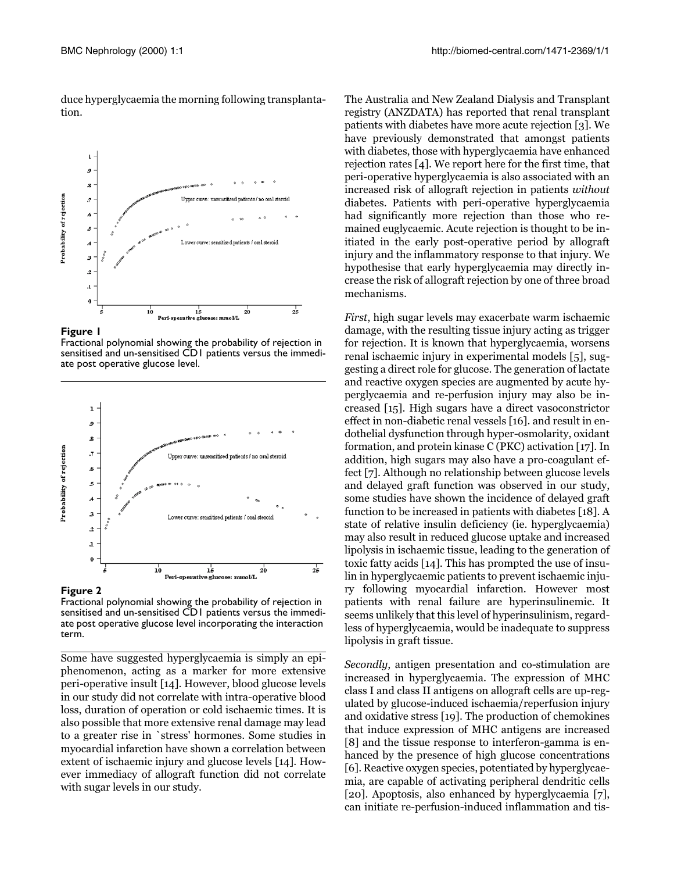duce hyperglycaemia the morning following transplantation.

<span id="page-3-0"></span>

**Figure 1**

Fractional polynomial showing the probability of rejection in sensitised and un-sensitised CD1 patients versus the immediate post operative glucose level.

<span id="page-3-1"></span>

#### **Figure 2**

Fractional polynomial showing the probability of rejection in sensitised and un-sensitised CD1 patients versus the immediate post operative glucose level incorporating the interaction term.

Some have suggested hyperglycaemia is simply an epiphenomenon, acting as a marker for more extensive peri-operative insult [14]. However, blood glucose levels in our study did not correlate with intra-operative blood loss, duration of operation or cold ischaemic times. It is also possible that more extensive renal damage may lead to a greater rise in `stress' hormones. Some studies in myocardial infarction have shown a correlation between extent of ischaemic injury and glucose levels [14]. However immediacy of allograft function did not correlate with sugar levels in our study.

The Australia and New Zealand Dialysis and Transplant registry (ANZDATA) has reported that renal transplant patients with diabetes have more acute rejection  $\left\lfloor 3 \right\rfloor$ . We have previously demonstrated that amongst patients with diabetes, those with hyperglycaemia have enhanced rejection rates [4]. We report here for the first time, that  $\,$ peri-operative hyperglycaemia is also associated with an increased risk of allograft rejection in patients without diabetes. Patients with peri-operative hyperglycaemia had significantly more rejection than those who remained euglycaemic. Acute rejection is thought to be initiated in the early post-operative period by allograft injury and the inflammatory response to that injury. We hypothesise that early hyperglycaemia may directly increase the risk of allograft rejection by one of three broad mechanisms.

First, high sugar levels may exacerbate warm ischaemic damage, with the resulting tissue injury acting as trigger for rejection. It is known that hyperglycaemia, worsens renal ischaemic injury in experimental models [5], suggesting a direct role for glucose. The generation of lactate and reactive oxygen species are augmented by acute hyperglycaemia and re-perfusion injury may also be increased [15]. High sugars have a direct vasoconstrictor effect in non-diabetic renal vessels [16]. and result in endothelial dysfunction through hyper-osmolarity, oxidant formation, and protein kinase  $C$  (PKC) activation [17]. In addition, high sugars may also have a pro-coagulant effect [7]. Although no relationship between glucose levels and delayed graft function was observed in our study, some studies have shown the incidence of delayed graft function to be increased in patients with diabetes  $\lfloor 18 \rfloor$ . A state of relative insulin deficiency (ie. hyperglycaemia) may also result in reduced glucose uptake and increased lipolysis in ischaemic tissue, leading to the generation of toxic fatty acids [14]. This has prompted the use of insulin in hyperglycaemic patients to prevent ischaemic injury following myocardial infarction. However most patients with renal failure are hyperinsulinemic. It seems unlikely that this level of hyperinsulinism, regardless of hyperglycaemia, would be inadequate to suppress lipolysis in graft tissue.

Secondly, antigen presentation and co-stimulation are increased in hyperglycaemia. The expression of  $\rm MHC$ class I and class II antigens on allograft cells are up-regulated by glucose-induced ischaemia/reperfusion injury and oxidative stress  $\left\lfloor \text{19} \right\rfloor$ . The production of chemokines that induce expression of MHC antigens are increased  $[8]$  and the tissue response to interferon-gamma is enhanced by the presence of high glucose concentrations [6]. Reactive oxygen species, potentiated by hyperglycaemia, are capable of activating peripheral dendritic cells [20]. Apoptosis, also enhanced by hyperglycaemia [7], can initiate re-perfusion-induced inflammation and tis-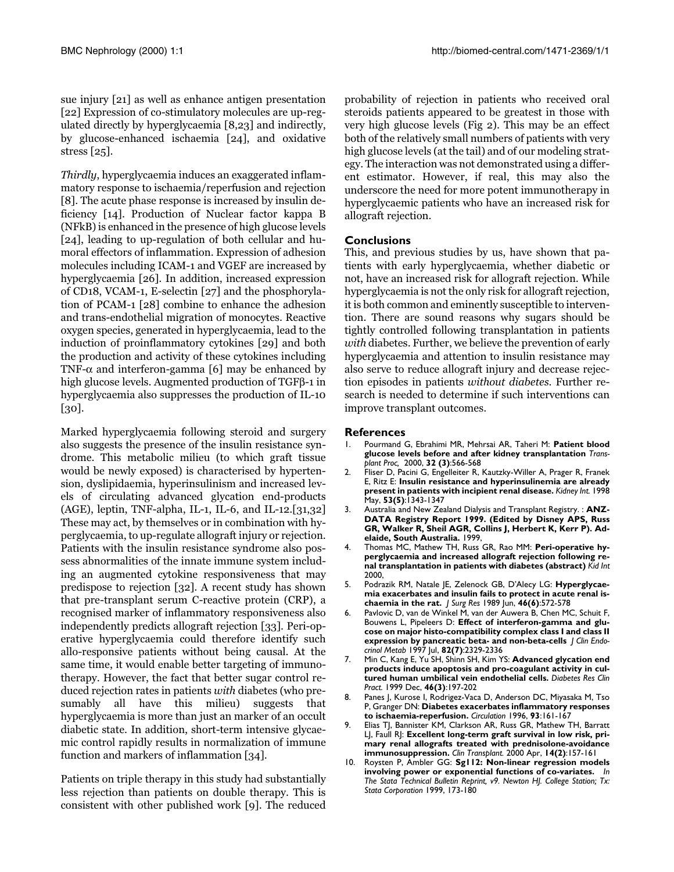sue injury [21] as well as enhance antigen presentation [22] Expression of co-stimulatory molecules are up-regulated directly by hyperglycaemia [8,23] and indirectly, by glucose-enhanced ischaemia [24], and oxidative stress [25].

Thirdly, hyperglycaemia induces an exaggerated inflammatory response to ischaemia/reperfusion and rejection [8]. The acute phase response is increased by insulin deficiency [14]. Production of Nuclear factor kappa B (NFkB) is enhanced in the presence of high glucose levels  $\lfloor 24 \rfloor$ , leading to up-regulation of both cellular and humoral effectors of inflammation. Expression of adhesion molecules including ICAM-1 and VGEF are increased by hyperglycaemia [26]. In addition, increased expression of CD18, VCAM-1, E-selectin [27] and the phosphoryla- $\frac{1}{28}$  combine to enhance the adhesion and trans-endothelial migration of monocytes. Reactive oxygen species, generated in hyperglycaemia, lead to the  $\,$  induction of proinflammatory cytokines [29] and both the production and activity of these cytokines including TNF-α and interferon-gamma [6] may be enhanced by high glucose levels. Augmented production of TGFβ-1 in hyperglycaemia also suppresses the production of IL-10  $[30]$ 

Marked hyperglycaemia following steroid and surgery also suggests the presence of the insulin resistance syndrome. This metabolic milieu (to which graft tissue would be newly exposed) is characterised by hypertension, dyslipidaemia, hyperinsulinism and increased levels of circulating advanced glycation end-products  $(AGE)$ , leptin, TNF-alpha, IL-1, IL-6, and IL-12. $[31,32]$ These may act, by themselves or in combination with hyperglycaemia, to up-regulate allograft injury or rejection. Patients with the insulin resistance syndrome also possess abnormalities of the innate immune system including an augmented cytokine responsiveness that may predispose to rejection  $\lfloor 32 \rfloor$ . A recent study has shown that pre-transplant serum C-reactive protein (CRP), a recognised marker of inflammatory responsiveness also independently predicts allograft rejection [33]. Peri-operative hyperglycaemia could therefore identify such allo-responsive patients without being causal. At the same time, it would enable better targeting of immunotherapy. However, the fact that better sugar control reduced rejection rates in patients with diabetes (who presumably all have this milieu) suggests that hyperglycaemia is more than just an marker of an occult diabetic state. In addition, short-term intensive glycaemic control rapidly results in normalization of immune function and markers of inflammation  $[34]$ .

Patients on triple therapy in this study had substantially less rejection than patients on double therapy. This is consistent with other published work [9]. The reduced probability of rejection in patients who received oral steroids patients appeared to be greatest in those with veryhigh glucose levels (Fig 2). This may be an effect both of the relatively small numbers of patients with very high glucose levels (at the tail) and of our modeling strategy. The interaction was not demonstrated using a different estimator. However, if real, this may also the underscore the need for more potent immunotherapy in hyperglycaemic patients who have an increased risk for allograft rejection.

#### **Conclusions**

This, and previous studies by us, have shown that patients with early hyperglycaemia, whether diabetic or not, have an increased risk for allograft rejection. While hyperglycaemia is not the only risk for allograft rejection, it is both common and eminently susceptible to intervention. There are sound reasons why sugars should be tightly controlled following transplantation in patients  $with$  diabetes. Further, we believe the prevention of early hyperglycaemia and attention to insulin resistance may also serve to reduce allograft injury and decrease rejection episodes in patients *without diabetes*. Further research is needed to determine if such interventions can improve transplant outcomes.

#### **References**

- <span id="page-4-0"></span>1. Pourmand G, Ebrahimi MR, Mehrsai AR, Taheri M: **Patient blood glucose levels before and after kidney transplantation** *Transplant Proc,* 2000, **32 (3)**:566-568
- <span id="page-4-1"></span>2. Fliser D, Pacini G, Engelleiter R, Kautzky-Willer A, Prager R, Franek E, Ritz E: **Insulin resistance and hyperinsulinemia are already present in patients with incipient renal disease.** *Kidney Int.* 1998 May, **53(5)**:1343-1347
- <span id="page-4-2"></span>3. Australia and New Zealand Dialysis and Transplant Registry. : **ANZ-DATA Registry Report 1999. (Edited by Disney APS, Russ GR, Walker R, Sheil AGR, Collins J, Herbert K, Kerr P). Adelaide, South Australia.** 1999,
- <span id="page-4-3"></span>4. Thomas MC, Mathew TH, Russ GR, Rao MM: **Peri-operative hyperglycaemia and increased allograft rejection following renal transplantation in patients with diabetes (abstract)** *Kid Int* 2000,
- <span id="page-4-4"></span>5. Podrazik RM, Natale JE, Zelenock GB, D'Alecy LG: **Hyperglycaemia exacerbates and insulin fails to protect in acute renal ischaemia in the rat.** *J Surg Res* 1989 Jun, **46(6)**:572-578
- <span id="page-4-5"></span>6. Pavlovic D, van de Winkel M, van der Auwera B, Chen MC, Schuit F, Bouwens L, Pipeleers D: **Effect of interferon-gamma and glucose on major histo-compatibility complex class I and class II expression by pancreatic beta- and non-beta-cells** *J Clin Endocrinol Metab* 1997 Jul, **82(7)**:2329-2336
- <span id="page-4-6"></span>7. Min C, Kang E, Yu SH, Shinn SH, Kim YS: **Advanced glycation end products induce apoptosis and pro-coagulant activity in cultured human umbilical vein endothelial cells.** *Diabetes Res Clin Pract.* 1999 Dec, **46(3)**:197-202
- <span id="page-4-7"></span>8. [Panes J, Kurose I, Rodrigez-Vaca D, Anderson DC, Miyasaka M, Tso](http://www.ncbi.nlm.nih.gov/entrez/query.fcgi?cmd=Retrieve&db=PubMed&dopt=Abstract&list_uids=8616923) [P, Granger DN:](http://www.ncbi.nlm.nih.gov/entrez/query.fcgi?cmd=Retrieve&db=PubMed&dopt=Abstract&list_uids=8616923) **Diabetes exacerbates inflammatory responses to ischaemia-reperfusion.** *Circulation* 1996, **93**:161-167
- <span id="page-4-8"></span>9. Elias TJ, Bannister KM, Clarkson AR, Russ GR, Mathew TH, Barratt LJ, Faull RJ: **Excellent long-term graft survival in low risk, primary renal allografts treated with prednisolone-avoidance immunosuppression.** *Clin Transplant.* 2000 Apr, **14(2)**:157-161
- <span id="page-4-9"></span>10. Roysten P, Ambler GG: **Sg112: Non-linear regression models involving power or exponential functions of co-variates.** *In The Stata Technical Bulletin Reprint, v9. Newton HJ. College Station; Tx: Stata Corporation* 1999, 173-180